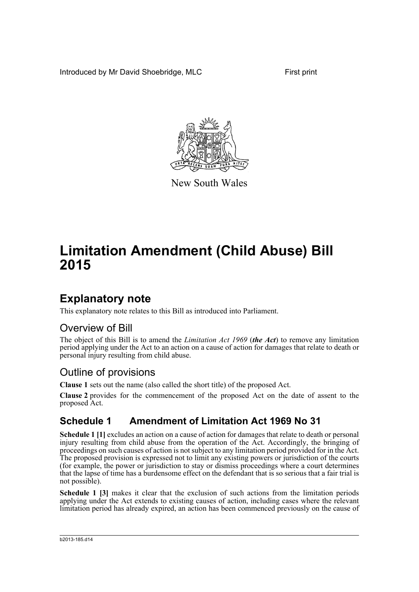Introduced by Mr David Shoebridge, MLC First print



New South Wales

# **Limitation Amendment (Child Abuse) Bill 2015**

### **Explanatory note**

This explanatory note relates to this Bill as introduced into Parliament.

#### Overview of Bill

The object of this Bill is to amend the *Limitation Act 1969* (*the Act*) to remove any limitation period applying under the Act to an action on a cause of action for damages that relate to death or personal injury resulting from child abuse.

### Outline of provisions

**Clause 1** sets out the name (also called the short title) of the proposed Act.

**Clause 2** provides for the commencement of the proposed Act on the date of assent to the proposed Act.

#### **Schedule 1 Amendment of Limitation Act 1969 No 31**

**Schedule 1 [1]** excludes an action on a cause of action for damages that relate to death or personal injury resulting from child abuse from the operation of the Act. Accordingly, the bringing of proceedings on such causes of action is not subject to any limitation period provided for in the Act. The proposed provision is expressed not to limit any existing powers or jurisdiction of the courts (for example, the power or jurisdiction to stay or dismiss proceedings where a court determines that the lapse of time has a burdensome effect on the defendant that is so serious that a fair trial is not possible).

**Schedule 1 [3]** makes it clear that the exclusion of such actions from the limitation periods applying under the Act extends to existing causes of action, including cases where the relevant limitation period has already expired, an action has been commenced previously on the cause of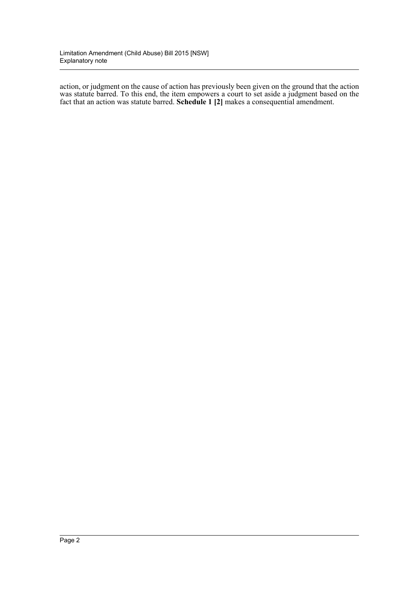action, or judgment on the cause of action has previously been given on the ground that the action was statute barred. To this end, the item empowers a court to set aside a judgment based on the fact that an action was statute barred. **Schedule 1 [2]** makes a consequential amendment.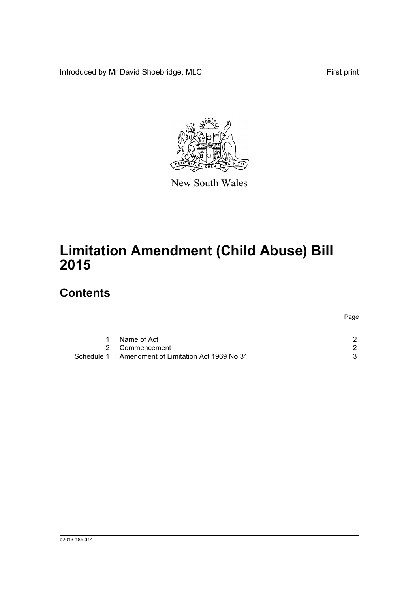Introduced by Mr David Shoebridge, MLC First print



New South Wales

# **Limitation Amendment (Child Abuse) Bill 2015**

## **Contents**

|            |                                        | Page |
|------------|----------------------------------------|------|
|            |                                        |      |
| 1.         | Name of Act                            | ົ    |
|            | 2 Commencement                         | ົ    |
| Schedule 1 | Amendment of Limitation Act 1969 No 31 | ર    |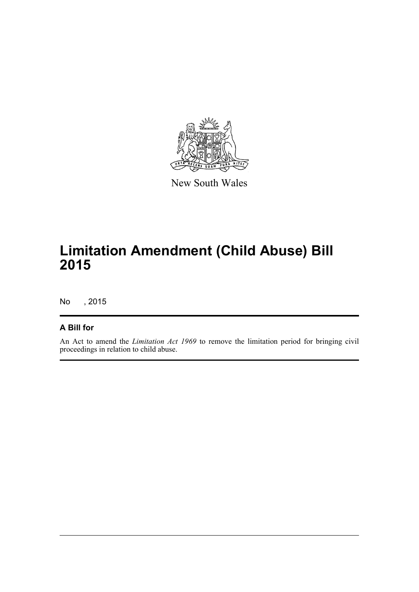

New South Wales

# **Limitation Amendment (Child Abuse) Bill 2015**

No , 2015

#### **A Bill for**

An Act to amend the *Limitation Act 1969* to remove the limitation period for bringing civil proceedings in relation to child abuse.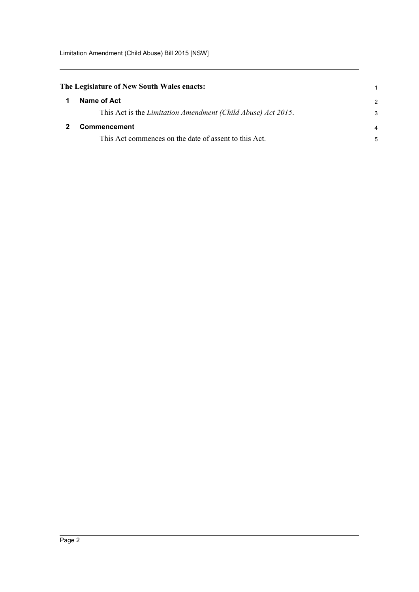<span id="page-4-1"></span><span id="page-4-0"></span>

| The Legislature of New South Wales enacts:                   |                |
|--------------------------------------------------------------|----------------|
| Name of Act                                                  | $\overline{2}$ |
| This Act is the Limitation Amendment (Child Abuse) Act 2015. | 3              |
| <b>Commencement</b>                                          |                |
| This Act commences on the date of assent to this Act.        | 5              |
|                                                              |                |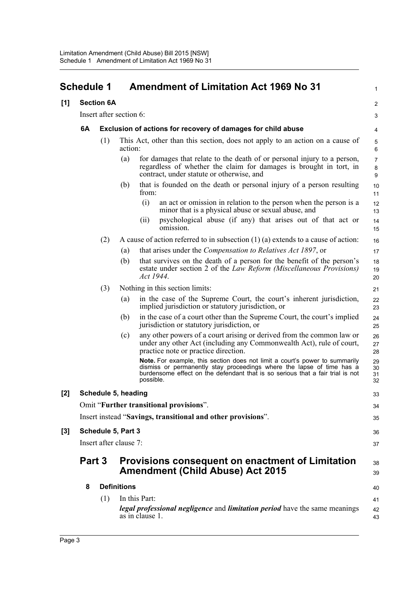<span id="page-5-0"></span>

|       | <b>Schedule 1</b> |                         |                    | <b>Amendment of Limitation Act 1969 No 31</b>                                                                                                                                                                                                       | 1                              |
|-------|-------------------|-------------------------|--------------------|-----------------------------------------------------------------------------------------------------------------------------------------------------------------------------------------------------------------------------------------------------|--------------------------------|
| [1]   |                   | <b>Section 6A</b>       |                    |                                                                                                                                                                                                                                                     | $\overline{c}$                 |
|       |                   | Insert after section 6: |                    |                                                                                                                                                                                                                                                     | 3                              |
|       | 6A                |                         |                    | Exclusion of actions for recovery of damages for child abuse                                                                                                                                                                                        | 4                              |
|       |                   | (1)                     | action:            | This Act, other than this section, does not apply to an action on a cause of                                                                                                                                                                        | 5<br>6                         |
|       |                   |                         | (a)                | for damages that relate to the death of or personal injury to a person,<br>regardless of whether the claim for damages is brought in tort, in<br>contract, under statute or otherwise, and                                                          | $\overline{7}$<br>$\bf 8$<br>9 |
|       |                   |                         | (b)                | that is founded on the death or personal injury of a person resulting<br>from:                                                                                                                                                                      | 10<br>11                       |
|       |                   |                         |                    | (i)<br>an act or omission in relation to the person when the person is a<br>minor that is a physical abuse or sexual abuse, and                                                                                                                     | 12<br>13                       |
|       |                   |                         |                    | psychological abuse (if any) that arises out of that act or<br>(i)<br>omission.                                                                                                                                                                     | 14<br>15                       |
|       |                   | (2)                     |                    | A cause of action referred to in subsection $(1)$ $(a)$ extends to a cause of action:                                                                                                                                                               | 16                             |
|       |                   |                         | (a)                | that arises under the <i>Compensation to Relatives Act 1897</i> , or                                                                                                                                                                                | 17                             |
|       |                   |                         | (b)                | that survives on the death of a person for the benefit of the person's<br>estate under section 2 of the <i>Law Reform (Miscellaneous Provisions)</i><br>Act 1944.                                                                                   | 18<br>19<br>20                 |
|       |                   | (3)                     |                    | Nothing in this section limits:                                                                                                                                                                                                                     | 21                             |
|       |                   |                         | (a)                | in the case of the Supreme Court, the court's inherent jurisdiction,<br>implied jurisdiction or statutory jurisdiction, or                                                                                                                          | 22<br>23                       |
|       |                   |                         | (b)                | in the case of a court other than the Supreme Court, the court's implied<br>jurisdiction or statutory jurisdiction, or                                                                                                                              | 24<br>25                       |
|       |                   |                         | (c)                | any other powers of a court arising or derived from the common law or<br>under any other Act (including any Commonwealth Act), rule of court,<br>practice note or practice direction.                                                               | 26<br>27<br>28                 |
|       |                   |                         |                    | Note. For example, this section does not limit a court's power to summarily<br>dismiss or permanently stay proceedings where the lapse of time has a<br>burdensome effect on the defendant that is so serious that a fair trial is not<br>possible. | 29<br>30<br>31<br>32           |
| [2]   |                   | Schedule 5, heading     |                    |                                                                                                                                                                                                                                                     | 33                             |
|       |                   |                         |                    | Omit "Further transitional provisions".                                                                                                                                                                                                             | 34                             |
|       |                   |                         |                    | Insert instead "Savings, transitional and other provisions".                                                                                                                                                                                        | 35                             |
| $[3]$ |                   | Schedule 5, Part 3      |                    |                                                                                                                                                                                                                                                     | 36                             |
|       |                   | Insert after clause 7:  |                    |                                                                                                                                                                                                                                                     | 37                             |
|       | Part 3            |                         |                    | <b>Provisions consequent on enactment of Limitation</b><br><b>Amendment (Child Abuse) Act 2015</b>                                                                                                                                                  | 38<br>39                       |
|       | 8                 |                         | <b>Definitions</b> |                                                                                                                                                                                                                                                     | 40                             |
|       |                   | (1)                     |                    | In this Part:                                                                                                                                                                                                                                       | 41                             |
|       |                   |                         |                    | legal professional negligence and limitation period have the same meanings<br>as in clause 1.                                                                                                                                                       | 42<br>43                       |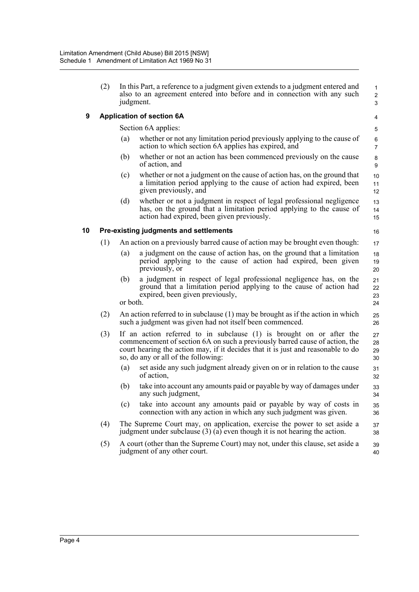|    | (2) | judgment.                                                                                                                                     | In this Part, a reference to a judgment given extends to a judgment entered and<br>also to an agreement entered into before and in connection with any such                                                                                                                    | $\mathbf{1}$<br>$\overline{2}$<br>3 |  |
|----|-----|-----------------------------------------------------------------------------------------------------------------------------------------------|--------------------------------------------------------------------------------------------------------------------------------------------------------------------------------------------------------------------------------------------------------------------------------|-------------------------------------|--|
| 9  |     |                                                                                                                                               | <b>Application of section 6A</b>                                                                                                                                                                                                                                               | 4                                   |  |
|    |     |                                                                                                                                               | Section 6A applies:                                                                                                                                                                                                                                                            | 5                                   |  |
|    |     | (a)                                                                                                                                           | whether or not any limitation period previously applying to the cause of<br>action to which section 6A applies has expired, and                                                                                                                                                | 6<br>$\overline{7}$                 |  |
|    |     | (b)                                                                                                                                           | whether or not an action has been commenced previously on the cause<br>of action, and                                                                                                                                                                                          | 8<br>9                              |  |
|    |     | (c)                                                                                                                                           | whether or not a judgment on the cause of action has, on the ground that<br>a limitation period applying to the cause of action had expired, been<br>given previously, and                                                                                                     | 10<br>11<br>12 <sup>°</sup>         |  |
|    |     | (d)                                                                                                                                           | whether or not a judgment in respect of legal professional negligence<br>has, on the ground that a limitation period applying to the cause of<br>action had expired, been given previously.                                                                                    | 13<br>14<br>15                      |  |
| 10 |     |                                                                                                                                               | Pre-existing judgments and settlements                                                                                                                                                                                                                                         | 16                                  |  |
|    | (1) |                                                                                                                                               | An action on a previously barred cause of action may be brought even though:                                                                                                                                                                                                   | 17                                  |  |
|    |     | (a)                                                                                                                                           | a judgment on the cause of action has, on the ground that a limitation<br>period applying to the cause of action had expired, been given<br>previously, or                                                                                                                     | 18<br>19<br>20                      |  |
|    |     | (b)<br>or both.                                                                                                                               | a judgment in respect of legal professional negligence has, on the<br>ground that a limitation period applying to the cause of action had<br>expired, been given previously,                                                                                                   | 21<br>22<br>23<br>24                |  |
|    | (2) | An action referred to in subclause $(1)$ may be brought as if the action in which<br>such a judgment was given had not itself been commenced. |                                                                                                                                                                                                                                                                                |                                     |  |
|    | (3) |                                                                                                                                               | If an action referred to in subclause (1) is brought on or after the<br>commencement of section 6A on such a previously barred cause of action, the<br>court hearing the action may, if it decides that it is just and reasonable to do<br>so, do any or all of the following: | 27<br>28<br>29<br>30                |  |
|    |     | (a)                                                                                                                                           | set aside any such judgment already given on or in relation to the cause<br>of action,                                                                                                                                                                                         | 31<br>32                            |  |
|    |     | (b)                                                                                                                                           | take into account any amounts paid or payable by way of damages under<br>any such judgment,                                                                                                                                                                                    | 33<br>34                            |  |
|    |     | (c)                                                                                                                                           | take into account any amounts paid or payable by way of costs in<br>connection with any action in which any such judgment was given.                                                                                                                                           | 35<br>36                            |  |
|    | (4) |                                                                                                                                               | The Supreme Court may, on application, exercise the power to set aside a<br>judgment under subclause $(3)$ (a) even though it is not hearing the action.                                                                                                                       | 37<br>38                            |  |
|    | (5) |                                                                                                                                               | A court (other than the Supreme Court) may not, under this clause, set aside a<br>judgment of any other court.                                                                                                                                                                 | 39<br>40                            |  |